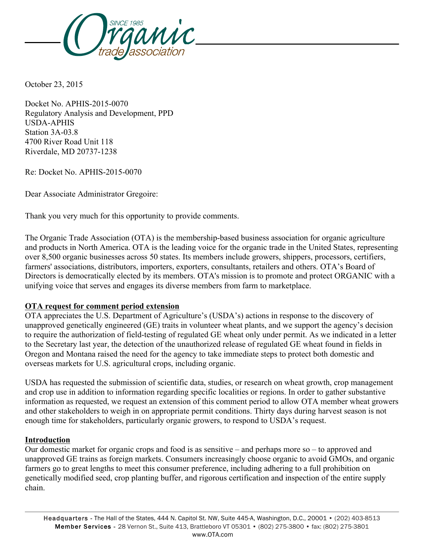

October 23, 2015

Docket No. APHIS-2015-0070 Regulatory Analysis and Development, PPD USDA-APHIS Station 3A-03.8 4700 River Road Unit 118 Riverdale, MD 20737-1238

Re: Docket No. APHIS-2015-0070

Dear Associate Administrator Gregoire:

Thank you very much for this opportunity to provide comments.

The Organic Trade Association (OTA) is the membership-based business association for organic agriculture and products in North America. OTA is the leading voice for the organic trade in the United States, representing over 8,500 organic businesses across 50 states. Its members include growers, shippers, processors, certifiers, farmers' associations, distributors, importers, exporters, consultants, retailers and others. OTA's Board of Directors is democratically elected by its members. OTA's mission is to promote and protect ORGANIC with a unifying voice that serves and engages its diverse members from farm to marketplace.

## **OTA request for comment period extension**

OTA appreciates the U.S. Department of Agriculture's (USDA's) actions in response to the discovery of unapproved genetically engineered (GE) traits in volunteer wheat plants, and we support the agency's decision to require the authorization of field-testing of regulated GE wheat only under permit. As we indicated in a letter to the Secretary last year, the detection of the unauthorized release of regulated GE wheat found in fields in Oregon and Montana raised the need for the agency to take immediate steps to protect both domestic and overseas markets for U.S. agricultural crops, including organic.

USDA has requested the submission of scientific data, studies, or research on wheat growth, crop management and crop use in addition to information regarding specific localities or regions. In order to gather substantive information as requested, we request an extension of this comment period to allow OTA member wheat growers and other stakeholders to weigh in on appropriate permit conditions. Thirty days during harvest season is not enough time for stakeholders, particularly organic growers, to respond to USDA's request.

#### **Introduction**

Our domestic market for organic crops and food is as sensitive – and perhaps more so – to approved and unapproved GE trains as foreign markets. Consumers increasingly choose organic to avoid GMOs, and organic farmers go to great lengths to meet this consumer preference, including adhering to a full prohibition on genetically modified seed, crop planting buffer, and rigorous certification and inspection of the entire supply chain.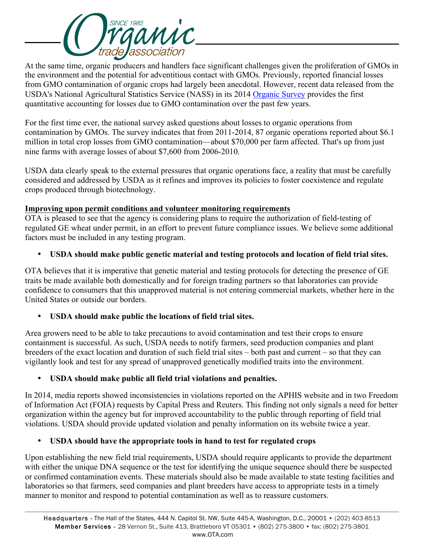

At the same time, organic producers and handlers face significant challenges given the proliferation of GMOs in the environment and the potential for adventitious contact with GMOs. Previously, reported financial losses from GMO contamination of organic crops had largely been anecdotal. However, recent data released from the USDA's National Agricultural Statistics Service (NASS) in its 2014 Organic Survey provides the first quantitative accounting for losses due to GMO contamination over the past few years.

For the first time ever, the national survey asked questions about losses to organic operations from contamination by GMOs. The survey indicates that from 2011-2014, 87 organic operations reported about \$6.1 million in total crop losses from GMO contamination—about \$70,000 per farm affected. That's up from just nine farms with average losses of about \$7,600 from 2006-2010.

USDA data clearly speak to the external pressures that organic operations face, a reality that must be carefully considered and addressed by USDA as it refines and improves its policies to foster coexistence and regulate crops produced through biotechnology.

## **Improving upon permit conditions and volunteer monitoring requirements**

OTA is pleased to see that the agency is considering plans to require the authorization of field-testing of regulated GE wheat under permit, in an effort to prevent future compliance issues. We believe some additional factors must be included in any testing program.

# • **USDA should make public genetic material and testing protocols and location of field trial sites.**

OTA believes that it is imperative that genetic material and testing protocols for detecting the presence of GE traits be made available both domestically and for foreign trading partners so that laboratories can provide confidence to consumers that this unapproved material is not entering commercial markets, whether here in the United States or outside our borders.

# • **USDA should make public the locations of field trial sites.**

Area growers need to be able to take precautions to avoid contamination and test their crops to ensure containment is successful. As such, USDA needs to notify farmers, seed production companies and plant breeders of the exact location and duration of such field trial sites – both past and current – so that they can vigilantly look and test for any spread of unapproved genetically modified traits into the environment.

# • **USDA should make public all field trial violations and penalties.**

In 2014, media reports showed inconsistencies in violations reported on the APHIS website and in two Freedom of Information Act (FOIA) requests by Capital Press and Reuters. This finding not only signals a need for better organization within the agency but for improved accountability to the public through reporting of field trial violations. USDA should provide updated violation and penalty information on its website twice a year.

# • **USDA should have the appropriate tools in hand to test for regulated crops**

Upon establishing the new field trial requirements, USDA should require applicants to provide the department with either the unique DNA sequence or the test for identifying the unique sequence should there be suspected or confirmed contamination events. These materials should also be made available to state testing facilities and laboratories so that farmers, seed companies and plant breeders have access to appropriate tests in a timely manner to monitor and respond to potential contamination as well as to reassure customers.